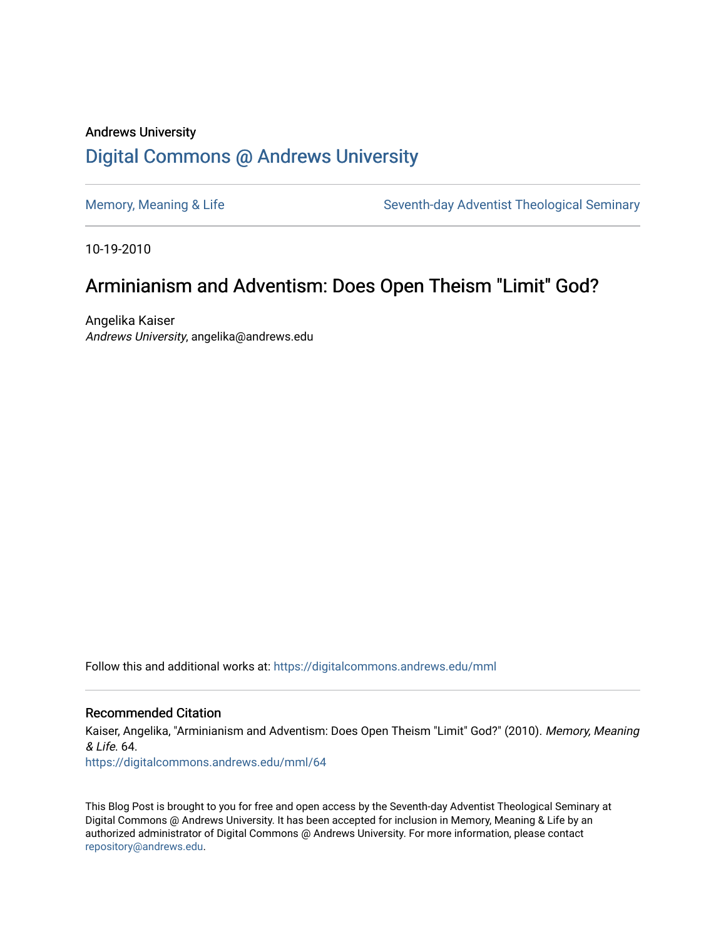# Andrews University [Digital Commons @ Andrews University](https://digitalcommons.andrews.edu/)

[Memory, Meaning & Life](https://digitalcommons.andrews.edu/mml) Seventh-day Adventist Theological Seminary

10-19-2010

# Arminianism and Adventism: Does Open Theism "Limit" God?

Angelika Kaiser Andrews University, angelika@andrews.edu

Follow this and additional works at: [https://digitalcommons.andrews.edu/mml](https://digitalcommons.andrews.edu/mml?utm_source=digitalcommons.andrews.edu%2Fmml%2F64&utm_medium=PDF&utm_campaign=PDFCoverPages) 

#### Recommended Citation

Kaiser, Angelika, "Arminianism and Adventism: Does Open Theism "Limit" God?" (2010). Memory, Meaning & Life. 64. [https://digitalcommons.andrews.edu/mml/64](https://digitalcommons.andrews.edu/mml/64?utm_source=digitalcommons.andrews.edu%2Fmml%2F64&utm_medium=PDF&utm_campaign=PDFCoverPages)

This Blog Post is brought to you for free and open access by the Seventh-day Adventist Theological Seminary at Digital Commons @ Andrews University. It has been accepted for inclusion in Memory, Meaning & Life by an authorized administrator of Digital Commons @ Andrews University. For more information, please contact [repository@andrews.edu](mailto:repository@andrews.edu).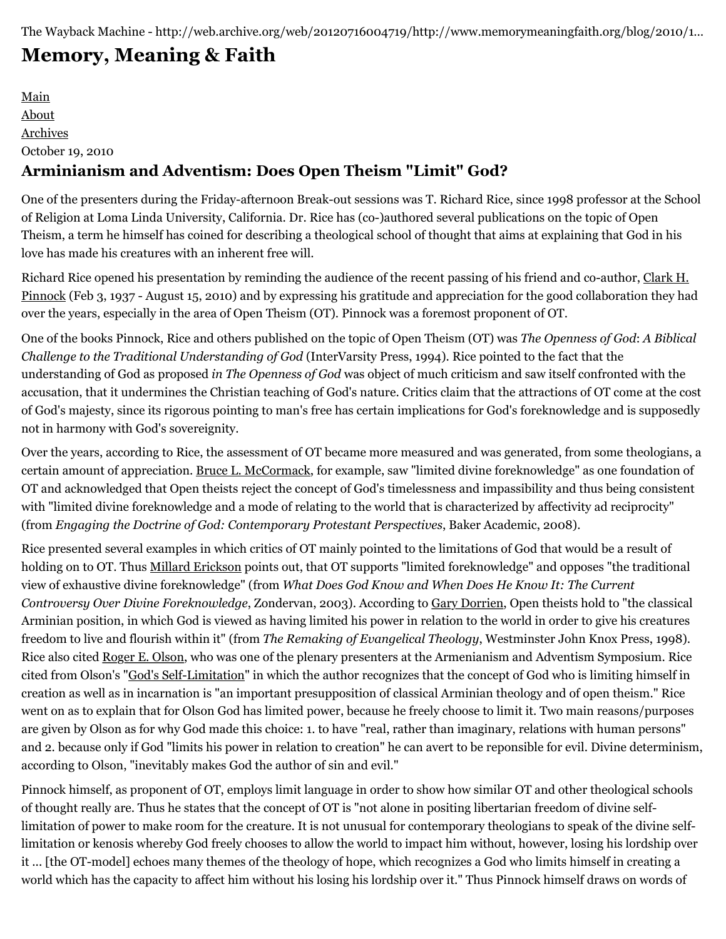# **[Memory, Meaning & Faith](http://web.archive.org/web/20120716004719/http://www.memorymeaningfaith.org/blog/)**

[Main](http://web.archive.org/web/20120716004719/http://www.memorymeaningfaith.org/blog) [About](http://web.archive.org/web/20120716004719/http://www.memorymeaningfaith.org/blog/about.html) [Archives](http://web.archive.org/web/20120716004719/http://www.memorymeaningfaith.org/blog/archives.html) October 19, 2010 **Arminianism and Adventism: Does Open Theism "Limit" God?**

One of the presenters during the Friday-afternoon Break-out sessions was T. Richard Rice, since 1998 professor at the School of Religion at Loma Linda University, California. Dr. Rice has (co-)authored several publications on the topic of Open Theism, a term he himself has coined for describing a theological school of thought that aims at explaining that God in his love has made his creatures with an inherent free will.

[Richard Rice opened his presentation by reminding the audience of the recent passing of his friend and co-author, Clark H.](http://web.archive.org/web/20120716004719/http://en.wikipedia.org/wiki/Clark_Pinnock) Pinnock (Feb 3, 1937 - August 15, 2010) and by expressing his gratitude and appreciation for the good collaboration they had over the years, especially in the area of Open Theism (OT). Pinnock was a foremost proponent of OT.

One of the books Pinnock, Rice and others published on the topic of Open Theism (OT) was *The Openness of God*: *A Biblical Challenge to the Traditional Understanding of God* (InterVarsity Press, 1994). Rice pointed to the fact that the understanding of God as proposed *in The Openness of God* was object of much criticism and saw itself confronted with the accusation, that it undermines the Christian teaching of God's nature. Critics claim that the attractions of OT come at the cost of God's majesty, since its rigorous pointing to man's free has certain implications for God's foreknowledge and is supposedly not in harmony with God's sovereignity.

Over the years, according to Rice, the assessment of OT became more measured and was generated, from some theologians, a certain amount of appreciation. [Bruce L. McCormack,](http://web.archive.org/web/20120716004719/http://www3.ptsem.edu/Content.aspx?id=1942&menu_id=72) for example, saw "limited divine foreknowledge" as one foundation of OT and acknowledged that Open theists reject the concept of God's timelessness and impassibility and thus being consistent with "limited divine foreknowledge and a mode of relating to the world that is characterized by affectivity ad reciprocity" (from *Engaging the Doctrine of God: Contemporary Protestant Perspectives*, Baker Academic, 2008).

Rice presented several examples in which critics of OT mainly pointed to the limitations of God that would be a result of holding on to OT. Thus [Millard Erickson](http://web.archive.org/web/20120716004719/http://en.wikipedia.org/wiki/Millard_Erickson) points out, that OT supports "limited foreknowledge" and opposes "the traditional view of exhaustive divine foreknowledge" (from *What Does God Know and When Does He Know It: The Current Controversy Over Divine Foreknowledge*, Zondervan, 2003). According to [Gary Dorrien,](http://web.archive.org/web/20120716004719/http://en.wikipedia.org/wiki/Gary_Dorrien) Open theists hold to "the classical Arminian position, in which God is viewed as having limited his power in relation to the world in order to give his creatures freedom to live and flourish within it" (from *The Remaking of Evangelical Theology*, Westminster John Knox Press, 1998). Rice also cited [Roger E. Olson](http://web.archive.org/web/20120716004719/http://en.wikipedia.org/wiki/Roger_E._Olson), who was one of the plenary presenters at the Armenianism and Adventism Symposium. Rice cited from Olson's ["God's Self-Limitation](http://web.archive.org/web/20120716004719/http://evangelicalarminians.org/olson.Gods-self-limitation)" in which the author recognizes that the concept of God who is limiting himself in creation as well as in incarnation is "an important presupposition of classical Arminian theology and of open theism." Rice went on as to explain that for Olson God has limited power, because he freely choose to limit it. Two main reasons/purposes are given by Olson as for why God made this choice: 1. to have "real, rather than imaginary, relations with human persons" and 2. because only if God "limits his power in relation to creation" he can avert to be reponsible for evil. Divine determinism, according to Olson, "inevitably makes God the author of sin and evil."

Pinnock himself, as proponent of OT, employs limit language in order to show how similar OT and other theological schools of thought really are. Thus he states that the concept of OT is "not alone in positing libertarian freedom of divine selflimitation of power to make room for the creature. It is not unusual for contemporary theologians to speak of the divine selflimitation or kenosis whereby God freely chooses to allow the world to impact him without, however, losing his lordship over it ... [the OT-model] echoes many themes of the theology of hope, which recognizes a God who limits himself in creating a world which has the capacity to affect him without his losing his lordship over it." Thus Pinnock himself draws on words of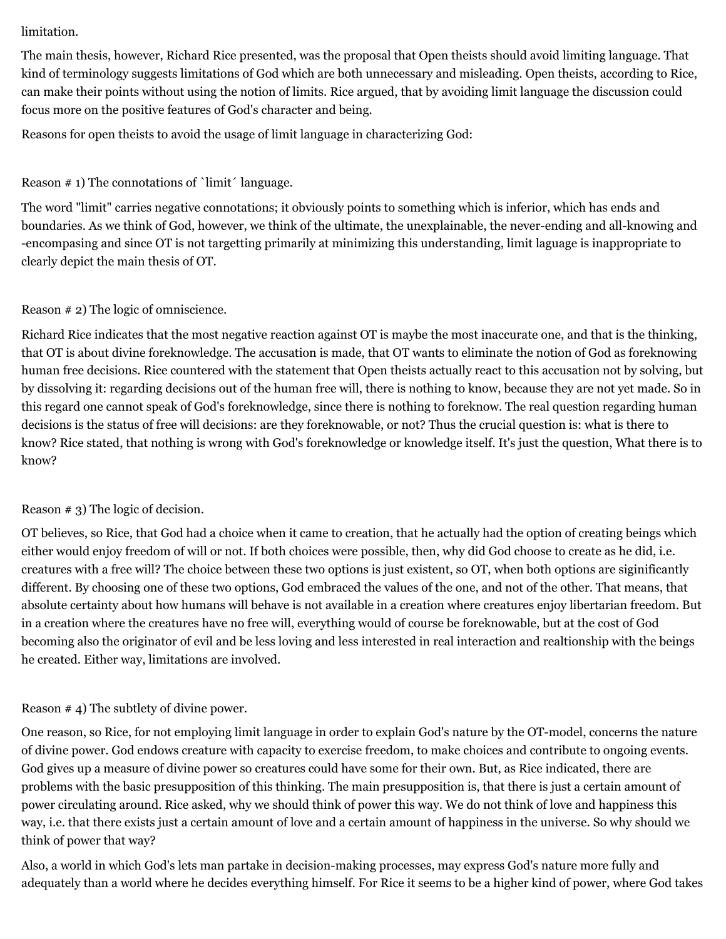#### limitation.

The main thesis, however, Richard Rice presented, was the proposal that Open theists should avoid limiting language. That kind of terminology suggests limitations of God which are both unnecessary and misleading. Open theists, according to Rice, can make their points without using the notion of limits. Rice argued, that by avoiding limit language the discussion could focus more on the positive features of God's character and being.

Reasons for open theists to avoid the usage of limit language in characterizing God:

### Reason  $# 1$ ) The connotations of `limit $\prime$  language.

The word "limit" carries negative connotations; it obviously points to something which is inferior, which has ends and boundaries. As we think of God, however, we think of the ultimate, the unexplainable, the never-ending and all-knowing and -encompasing and since OT is not targetting primarily at minimizing this understanding, limit laguage is inappropriate to clearly depict the main thesis of OT.

#### Reason # 2) The logic of omniscience.

Richard Rice indicates that the most negative reaction against OT is maybe the most inaccurate one, and that is the thinking, that OT is about divine foreknowledge. The accusation is made, that OT wants to eliminate the notion of God as foreknowing human free decisions. Rice countered with the statement that Open theists actually react to this accusation not by solving, but by dissolving it: regarding decisions out of the human free will, there is nothing to know, because they are not yet made. So in this regard one cannot speak of God's foreknowledge, since there is nothing to foreknow. The real question regarding human decisions is the status of free will decisions: are they foreknowable, or not? Thus the crucial question is: what is there to know? Rice stated, that nothing is wrong with God's foreknowledge or knowledge itself. It's just the question, What there is to know?

#### Reason # 3) The logic of decision.

OT believes, so Rice, that God had a choice when it came to creation, that he actually had the option of creating beings which either would enjoy freedom of will or not. If both choices were possible, then, why did God choose to create as he did, i.e. creatures with a free will? The choice between these two options is just existent, so OT, when both options are siginificantly different. By choosing one of these two options, God embraced the values of the one, and not of the other. That means, that absolute certainty about how humans will behave is not available in a creation where creatures enjoy libertarian freedom. But in a creation where the creatures have no free will, everything would of course be foreknowable, but at the cost of God becoming also the originator of evil and be less loving and less interested in real interaction and realtionship with the beings he created. Either way, limitations are involved.

#### Reason # 4) The subtlety of divine power.

One reason, so Rice, for not employing limit language in order to explain God's nature by the OT-model, concerns the nature of divine power. God endows creature with capacity to exercise freedom, to make choices and contribute to ongoing events. God gives up a measure of divine power so creatures could have some for their own. But, as Rice indicated, there are problems with the basic presupposition of this thinking. The main presupposition is, that there is just a certain amount of power circulating around. Rice asked, why we should think of power this way. We do not think of love and happiness this way, i.e. that there exists just a certain amount of love and a certain amount of happiness in the universe. So why should we think of power that way?

Also, a world in which God's lets man partake in decision-making processes, may express God's nature more fully and adequately than a world where he decides everything himself. For Rice it seems to be a higher kind of power, where God takes